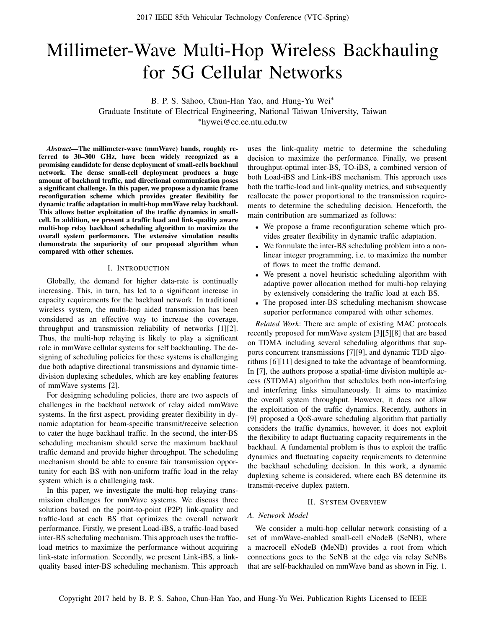# Millimeter-Wave Multi-Hop Wireless Backhauling for 5G Cellular Networks

B. P. S. Sahoo, Chun-Han Yao, and Hung-Yu Wei\* Graduate Institute of Electrical Engineering, National Taiwan University, Taiwan ⇤hywei@cc.ee.ntu.edu.tw

*Abstract*—The millimeter-wave (mmWave) bands, roughly referred to 30–300 GHz, have been widely recognized as a promising candidate for dense deployment of small-cells backhaul network. The dense small-cell deployment produces a huge amount of backhaul traffic, and directional communication poses a significant challenge. In this paper, we propose a dynamic frame reconfiguration scheme which provides greater flexibility for dynamic traffic adaptation in multi-hop mmWave relay backhaul. This allows better exploitation of the traffic dynamics in smallcell. In addition, we present a traffic load and link-quality aware multi-hop relay backhaul scheduling algorithm to maximize the overall system performance. The extensive simulation results demonstrate the superiority of our proposed algorithm when compared with other schemes.

#### I. INTRODUCTION

Globally, the demand for higher data-rate is continually increasing. This, in turn, has led to a significant increase in capacity requirements for the backhaul network. In traditional wireless system, the multi-hop aided transmission has been considered as an effective way to increase the coverage, throughput and transmission reliability of networks [1][2]. Thus, the multi-hop relaying is likely to play a significant role in mmWave cellular systems for self backhauling. The designing of scheduling policies for these systems is challenging due both adaptive directional transmissions and dynamic timedivision duplexing schedules, which are key enabling features of mmWave systems [2].

For designing scheduling policies, there are two aspects of challenges in the backhaul network of relay aided mmWave systems. In the first aspect, providing greater flexibility in dynamic adaptation for beam-specific transmit/receive selection to cater the huge backhaul traffic. In the second, the inter-BS scheduling mechanism should serve the maximum backhaul traffic demand and provide higher throughput. The scheduling mechanism should be able to ensure fair transmission opportunity for each BS with non-uniform traffic load in the relay system which is a challenging task.

In this paper, we investigate the multi-hop relaying transmission challenges for mmWave systems. We discuss three solutions based on the point-to-point (P2P) link-quality and traffic-load at each BS that optimizes the overall network performance. Firstly, we present Load-iBS, a traffic-load based inter-BS scheduling mechanism. This approach uses the trafficload metrics to maximize the performance without acquiring link-state information. Secondly, we present Link-iBS, a linkquality based inter-BS scheduling mechanism. This approach

uses the link-quality metric to determine the scheduling decision to maximize the performance. Finally, we present throughput-optimal inter-BS, TO-iBS, a combined version of both Load-iBS and Link-iBS mechanism. This approach uses both the traffic-load and link-quality metrics, and subsequently reallocate the power proportional to the transmission requirements to determine the scheduling decision. Henceforth, the main contribution are summarized as follows:

- *•* We propose a frame reconfiguration scheme which provides greater flexibility in dynamic traffic adaptation.
- We formulate the inter-BS scheduling problem into a nonlinear integer programming, i.e. to maximize the number of flows to meet the traffic demand.
- We present a novel heuristic scheduling algorithm with adaptive power allocation method for multi-hop relaying by extensively considering the traffic load at each BS.
- *•* The proposed inter-BS scheduling mechanism showcase superior performance compared with other schemes.

*Related Work*: There are ample of existing MAC protocols recently proposed for mmWave system [3][5][8] that are based on TDMA including several scheduling algorithms that supports concurrent transmissions [7][9], and dynamic TDD algorithms [6][11] designed to take the advantage of beamforming. In [7], the authors propose a spatial-time division multiple access (STDMA) algorithm that schedules both non-interfering and interfering links simultaneously. It aims to maximize the overall system throughput. However, it does not allow the exploitation of the traffic dynamics. Recently, authors in [9] proposed a QoS-aware scheduling algorithm that partially considers the traffic dynamics, however, it does not exploit the flexibility to adapt fluctuating capacity requirements in the backhaul. A fundamental problem is thus to exploit the traffic dynamics and fluctuating capacity requirements to determine the backhaul scheduling decision. In this work, a dynamic duplexing scheme is considered, where each BS determine its transmit-receive duplex pattern.

# II. SYSTEM OVERVIEW

# *A. Network Model*

We consider a multi-hop cellular network consisting of a set of mmWave-enabled small-cell eNodeB (SeNB), where a macrocell eNodeB (MeNB) provides a root from which connections goes to the SeNB at the edge via relay SeNBs that are self-backhauled on mmWave band as shown in Fig. 1.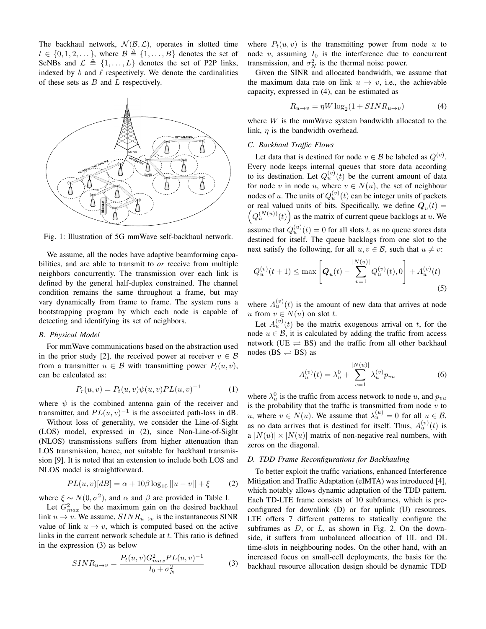The backhaul network,  $\mathcal{N}(\mathcal{B}, \mathcal{L})$ , operates in slotted time  $t \in \{0, 1, 2, \ldots\}$ , where  $\mathcal{B} \triangleq \{1, \ldots, B\}$  denotes the set of SeNBs and  $\mathcal{L} \triangleq \{1, \ldots, L\}$  denotes the set of P2P links, indexed by  $b$  and  $\ell$  respectively. We denote the cardinalities of these sets as *B* and *L* respectively.



Fig. 1: Illustration of 5G mmWave self-backhaul network.

We assume, all the nodes have adaptive beamforming capabilities, and are able to transmit to *or* receive from multiple neighbors concurrently. The transmission over each link is defined by the general half-duplex constrained. The channel condition remains the same throughout a frame, but may vary dynamically from frame to frame. The system runs a bootstrapping program by which each node is capable of detecting and identifying its set of neighbors.

# *B. Physical Model*

For mmWave communications based on the abstraction used in the prior study [2], the received power at receiver  $v \in \mathcal{B}$ from a transmitter  $u \in \mathcal{B}$  with transmitting power  $P_t(u, v)$ , can be calculated as:

$$
P_r(u, v) = P_t(u, v)\psi(u, v)PL(u, v)^{-1}
$$
 (1)

where  $\psi$  is the combined antenna gain of the receiver and transmitter, and  $PL(u, v)^{-1}$  is the associated path-loss in dB.

Without loss of generality, we consider the Line-of-Sight (LOS) model, expressed in (2), since Non-Line-of-Sight (NLOS) transmissions suffers from higher attenuation than LOS transmission, hence, not suitable for backhaul transmission [9]. It is noted that an extension to include both LOS and NLOS model is straightforward.

$$
PL(u, v)[dB] = \alpha + 10\beta \log_{10} ||u - v|| + \xi \tag{2}
$$

where  $\xi \sim N(0, \sigma^2)$ , and  $\alpha$  and  $\beta$  are provided in Table I.

Let  $G_{max}^2$  be the maximum gain on the desired backhaul link  $u \rightarrow v$ . We assume,  $SINR_{u \rightarrow v}$  is the instantaneous SINR value of link  $u \rightarrow v$ , which is computed based on the active links in the current network schedule at *t*. This ratio is defined in the expression (3) as below

$$
SINR_{u \to v} = \frac{P_t(u, v)G_{max}^2 PL(u, v)^{-1}}{I_0 + \sigma_N^2}
$$
 (3)

where  $P_t(u, v)$  is the transmitting power from node  $u$  to node  $v$ , assuming  $I_0$  is the interference due to concurrent transmission, and  $\sigma_N^2$  is the thermal noise power.

Given the SINR and allocated bandwidth, we assume that the maximum data rate on link  $u \rightarrow v$ , i.e., the achievable capacity, expressed in (4), can be estimated as

$$
R_{u \to v} = \eta W \log_2(1 + SINR_{u \to v}) \tag{4}
$$

where *W* is the mmWave system bandwidth allocated to the link,  $\eta$  is the bandwidth overhead.

# *C. Backhaul Traffic Flows*

Let data that is destined for node  $v \in \mathcal{B}$  be labeled as  $Q^{(v)}$ . Every node keeps internal queues that store data according to its destination. Let  $Q_u^{(v)}(t)$  be the current amount of data for node *v* in node *u*, where  $v \in N(u)$ , the set of neighbour nodes of *u*. The units of  $Q_u^{(v)}(t)$  can be integer units of packets or real valued units of bits. Specifically, we define  $Q_u(t) = \left(\frac{O^{(N(u))}(t)}{t}\right)$  as the matrix of surrent sugges healtloas at x. We  $Q_u^{(N(u))}(t)$  as the matrix of current queue backlogs at *u*. We assume that  $Q_u^{(u)}(t)=0$  for all slots *t*, as no queue stores data destined for itself. The queue backlogs from one slot to the next satisfy the following, for all  $u, v \in \mathcal{B}$ , such that  $u \neq v$ :

$$
Q_u^{(v)}(t+1) \le \max\left[Q_u(t) - \sum_{v=1}^{|N(u)|} Q_u^{(v)}(t), 0\right] + A_u^{(v)}(t)
$$
\n(5)

where  $A_u^{(v)}(t)$  is the amount of new data that arrives at node *u* from  $v \in N(u)$  on slot *t*.

Let  $A_u^{(v)}(t)$  be the matrix exogenous arrival on *t*, for the node  $u \in \mathcal{B}$ , it is calculated by adding the traffic from access network (UE  $\rightleftharpoons$  BS) and the traffic from all other backhaul nodes ( $BS \rightleftharpoons BS$ ) as

$$
A_u^{(v)}(t) = \lambda_u^0 + \sum_{v=1}^{|N(u)|} \lambda_u^{(v)} p_{vu}
$$
 (6)

where  $\lambda_u^0$  is the traffic from access network to node *u*, and  $p_{vu}$ is the probability that the traffic is transmitted from node  $v$  to *u*, where  $v \in N(u)$ . We assume that  $\lambda_u^{(u)} = 0$  for all  $u \in \mathcal{B}$ , as no data arrives that is destined for itself. Thus,  $A_u^{(v)}(t)$  is a  $|N(u)| \times |N(u)|$  matrix of non-negative real numbers, with zeros on the diagonal.

# *D. TDD Frame Reconfigurations for Backhauling*

To better exploit the traffic variations, enhanced Interference Mitigation and Traffic Adaptation (eIMTA) was introduced [4], which notably allows dynamic adaptation of the TDD pattern. Each TD-LTE frame consists of 10 subframes, which is preconfigured for downlink (D) or for uplink (U) resources. LTE offers 7 different patterns to statically configure the subframes as *D*, or *L*, as shown in Fig. 2. On the downside, it suffers from unbalanced allocation of UL and DL time-slots in neighbouring nodes. On the other hand, with an increased focus on small-cell deployments, the basis for the backhaul resource allocation design should be dynamic TDD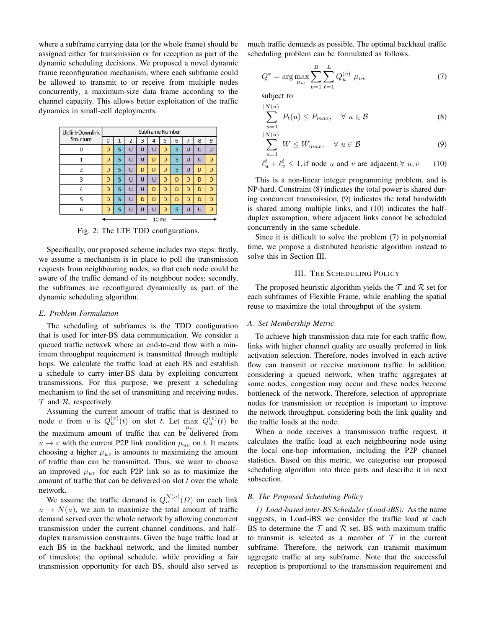where a subframe carrying data (or the whole frame) should be assigned either for transmission or for reception as part of the dynamic scheduling decisions. We proposed a novel dynamic frame reconfiguration mechanism, where each subframe could be allowed to transmit to or receive from multiple nodes concurrently, a maximum-size data frame according to the channel capacity. This allows better exploitation of the traffic dynamics in small-cell deployments.

| Uplink-Downlink<br>Structure | Subframe Number |   |                |   |   |   |   |   |   |   |
|------------------------------|-----------------|---|----------------|---|---|---|---|---|---|---|
|                              | $\Omega$        | 1 | $\overline{2}$ | 3 | 4 | 5 | 6 | 7 | 8 | 9 |
| 0                            | D               | S | Ü              | Ü | Ü | D | S | Ū | U | Ü |
| 1                            | D               | S | Ū              | Ü | D | D | S | Ū | U | D |
| 2                            | D               | S | Ū              | D | D | D | S | Ū | D | D |
| 3                            | D               | S | Ü              | Ū | Ü | D | D | D | D | D |
| 4                            | D               | S | Ū              | Ü | D | D | D | D | D | D |
| 5                            | D               | S | ū              | D | D | D | D | D | D | D |
| 6                            | D               | S | ū              | ū | u | D | S | Ū | ū | D |
| 10me                         |                 |   |                |   |   |   |   |   |   |   |

Fig. 2: The LTE TDD configurations.

Specifically, our proposed scheme includes two steps: firstly, we assume a mechanism is in place to poll the transmission requests from neighbouring nodes, so that each node could be aware of the traffic demand of its neighbour nodes; secondly, the subframes are reconfigured dynamically as part of the dynamic scheduling algorithm.

## *E. Problem Formulation*

The scheduling of subframes is the TDD configuration that is used for inter-BS data communication. We consider a queued traffic network where an end-to-end flow with a minimum throughput requirement is transmitted through multiple hops. We calculate the traffic load at each BS and establish a schedule to carry inter-BS data by exploiting concurrent transmissions. For this purpose, we present a scheduling mechanism to find the set of transmitting and receiving nodes, *T* and *R*, respectively.

Assuming the current amount of traffic that is destined to node *v* from *u* is  $Q_u^{(v)}(t)$  on slot *t*. Let max  $Q_u^{(v)}(t)$  be the maximum amount of traffic that can be delivered from  $u \rightarrow v$  with the current P2P link condition  $\mu_{uv}$  on *t*. It means choosing a higher  $\mu_{uv}$  is amounts to maximizing the amount of traffic than can be transmitted. Thus, we want to choose an improved  $\mu_{uv}$  for each P2P link so as to maximize the amount of traffic that can be delivered on slot *t* over the whole network.

We assume the traffic demand is  $Q_u^{N(u)}(D)$  on each link  $u \rightarrow N(u)$ , we aim to maximize the total amount of traffic demand served over the whole network by allowing concurrent transmission under the current channel conditions, and halfduplex transmission constraints. Given the huge traffic load at each BS in the backhaul network, and the limited number of timeslots; the optimal schedule, while providing a fair transmission opportunity for each BS, should also served as much traffic demands as possible. The optimal backhaul traffic scheduling problem can be formulated as follows.

$$
Q^* = \arg \max_{\mu_{uv}} \sum_{b=1}^{B} \sum_{\ell=1}^{L} Q_u^{(v)} \mu_{uv}
$$
 (7)

subject to

$$
\sum_{u=1}^{|N(u)|} P_t(u) \le P_{max}, \quad \forall \ u \in \mathcal{B}
$$
 (8)

$$
\sum_{u=1}^{|N(u)|} W \le W_{max}, \quad \forall \ u \in \mathcal{B}
$$
 (9)

$$
\ell_u^t + \ell_v^t \le 1, \text{if node } u \text{ and } v \text{ are adjacent}; \forall u, v \qquad (10)
$$

This is a non-linear integer programming problem, and is NP-hard. Constraint (8) indicates the total power is shared during concurrent transmission, (9) indicates the total bandwidth is shared among multiple links, and (10) indicates the halfduplex assumption, where adjacent links cannot be scheduled concurrently in the same schedule.

Since it is difficult to solve the problem (7) in polynomial time, we propose a distributed heuristic algorithm instead to solve this in Section III.

### III. THE SCHEDULING POLICY

The proposed heuristic algorithm yields the  $\mathcal T$  and  $\mathcal R$  set for each subframes of Flexible Frame, while enabling the spatial reuse to maximize the total throughput of the system.

## *A. Set Membership Metric*

To achieve high transmission data rate for each traffic flow, links with higher channel quality are usually preferred in link activation selection. Therefore, nodes involved in each active flow can transmit or receive maximum traffic. In addition, considering a queued network, when traffic aggregates at some nodes, congestion may occur and these nodes become bottleneck of the network. Therefore, selection of appropriate nodes for transmission or reception is important to improve the network throughput, considering both the link quality and the traffic loads at the node.

When a node receives a transmission traffic request, it calculates the traffic load at each neighbouring node using the local one-hop information, including the P2P channel statistics. Based on this metric, we categorise our proposed scheduling algorithm into three parts and describe it in next subsection.

# *B. The Proposed Scheduling Policy*

*1) Load-based inter-BS Scheduler (Load-iBS):* As the name suggests, in Load-iBS we consider the traffic load at each BS to determine the  $T$  and  $R$  set. BS with maximum traffic to transmit is selected as a member of  $T$  in the current subframe. Therefore, the network can transmit maximum aggregate traffic at any subframe. Note that the successful reception is proportional to the transmission requirement and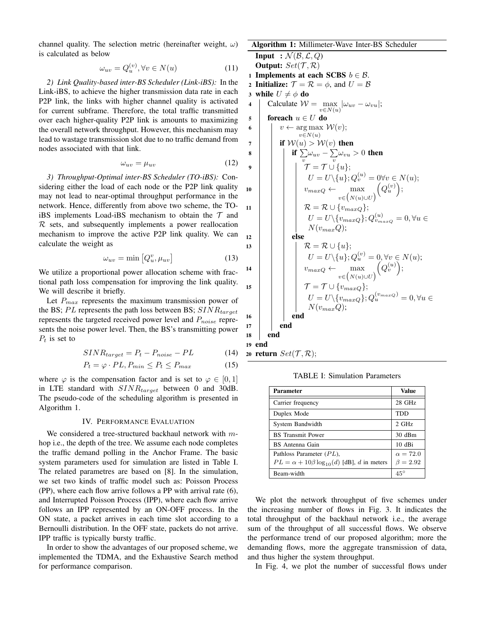channel quality. The selection metric (hereinafter weight,  $\omega$ ) is calculated as below

$$
\omega_{uv} = Q_u^{(v)}, \forall v \in N(u) \tag{11}
$$

*2) Link Quality-based inter-BS Scheduler (Link-iBS):* In the Link-iBS, to achieve the higher transmission data rate in each P2P link, the links with higher channel quality is activated for current subframe. Therefore, the total traffic transmitted over each higher-quality P2P link is amounts to maximizing the overall network throughput. However, this mechanism may lead to wastage transmission slot due to no traffic demand from nodes associated with that link.

$$
\omega_{uv} = \mu_{uv} \tag{12}
$$

*3) Throughput-Optimal inter-BS Scheduler (TO-iBS):* Considering either the load of each node or the P2P link quality may not lead to near-optimal throughput performance in the network. Hence, differently from above two scheme, the TOiBS implements Load-iBS mechanism to obtain the *T* and *R* sets, and subsequently implements a power reallocation mechanism to improve the active P2P link quality. We can calculate the weight as

$$
\omega_{uv} = \min\left[Q_u^v, \mu_{uv}\right] \tag{13}
$$

We utilize a proportional power allocation scheme with fractional path loss compensation for improving the link quality. We will describe it briefly.

Let  $P_{max}$  represents the maximum transmission power of the BS; *P L* represents the path loss between BS; *SINRtarget* represents the targeted received power level and *Pnoise* represents the noise power level. Then, the BS's transmitting power *P<sup>t</sup>* is set to

$$
SINR_{target} = P_t - P_{noise} - PL \tag{14}
$$

$$
P_t = \varphi \cdot PL, P_{min} \le P_t \le P_{max} \tag{15}
$$

where  $\varphi$  is the compensation factor and is set to  $\varphi \in [0, 1]$ in LTE standard with *SINRtarget* between 0 and 30dB. The pseudo-code of the scheduling algorithm is presented in Algorithm 1.

#### IV. PERFORMANCE EVALUATION

We considered a tree-structured backhaul network with *m*hop i.e., the depth of the tree. We assume each node completes the traffic demand polling in the Anchor Frame. The basic system parameters used for simulation are listed in Table I. The related parametres are based on [8]. In the simulation, we set two kinds of traffic model such as: Poisson Process (PP), where each flow arrive follows a PP with arrival rate (6), and Interrupted Poisson Process (IPP), where each flow arrive follows an IPP represented by an ON-OFF process. In the ON state, a packet arrives in each time slot according to a Bernoulli distribution. In the OFF state, packets do not arrive. IPP traffic is typically bursty traffic.

In order to show the advantages of our proposed scheme, we implemented the TDMA, and the Exhaustive Search method for performance comparison.

# Algorithm 1: Millimeter-Wave Inter-BS Scheduler

**Input** :  $\mathcal{N}(\mathcal{B}, \mathcal{L}, Q)$ Output:  $Set(\mathcal{T}, \mathcal{R})$ 1 Implements at each SCBS  $b \in \mathcal{B}$ . 2 **Initialize:**  $\mathcal{T} = \mathcal{R} = \phi$ , and  $U = \mathcal{B}$ 3 while  $U \neq \phi$  do<br>4 | Calculate *W* 4 Calculate  $W = \max_{v \in N(u)} |\omega_{uv} - \omega_{vu}|;$ 5 **foreach**  $u \in U$  **do**<br>6  $v \leftarrow \arg \max$ 6  $v \leftarrow \arg \max_{v \in V(v)} \mathcal{W}(v);$  $v \in N(u)$  $\begin{array}{c|c} \n7 & \text{if } \mathcal{W}(u) > \mathcal{W}(v) \text{ then} \\ \n8 & \text{if } \sum \omega_{uv} - \sum \omega_{vu} \n\end{array}$ 8 *i*  $\int$  *if*  $\sum \omega_{uv} - \sum \omega_{vu} > 0$  then *v v*  $\sigma$   $\begin{array}{|c|c|c|}\n\hline\n\end{array}$   $\begin{array}{|c|c|c|}\n\hline\n\end{array}$   $\mathcal{T}=\mathcal{T}\cup\{u\};$  $U = U \setminus \{u\}; Q_v^{(u)} = 0 \forall v \in N(u);$ 10  $v_{maxQ} \leftarrow \max_{(x,y,z)}$  $v \in (N(u) \cup U)$  $(Q_u^{(v)})$ ;  $\mathcal{R} = \mathcal{R} \cup \{v_{maxQ}\};$  $U = U \setminus \{v_{maxQ}\}; Q_{v_{maxQ}}^{(u)} = 0, \forall u \in$ *N*(*vmaxQ*);  $12$  else 13  $\vert$   $\vert$   $\vert$   $\vert$   $\mathcal{R} = \mathcal{R} \cup \{u\};$  $U = U \setminus \{u\}; Q_u^{(v)} = 0, \forall v \in N(u);$ 14 *v*<sub>max</sub><sub>Q</sub>  $\leftarrow$  max  $v \in (N(u) \cup U)$  $(Q_v^{(u)})$ ; 15  $\vert$   $\vert$   $\vert$   $\vert$   $\mathcal{T} = \mathcal{T} \cup \{v_{maxQ}\};$  $U = U \setminus \{v_{maxQ}\}; Q_u^{(v_{maxQ})} = 0, \forall u \in$ *N*(*vmaxQ*);  $16$  | | | end  $17$  | end <sup>18</sup> end <sup>19</sup> end 20 return  $Set(\mathcal{T}, \mathcal{R})$ ;

TABLE I: Simulation Parameters

| Parameter                                              | Value           |  |  |
|--------------------------------------------------------|-----------------|--|--|
| Carrier frequency                                      | $28$ GHz        |  |  |
| Duplex Mode                                            | <b>TDD</b>      |  |  |
| System Bandwidth                                       | $2$ GHz         |  |  |
| <b>BS</b> Transmit Power                               | 30dBm           |  |  |
| BS Antenna Gain                                        | $10dB$ i        |  |  |
| Pathloss Parameter $(PL)$ ,                            | $\alpha = 72.0$ |  |  |
| $PL = \alpha + 10\beta \log_{10}(d)$ [dB], d in meters | $\beta = 2.92$  |  |  |
| Beam-width                                             | $45^{\circ}$    |  |  |

We plot the network throughput of five schemes under the increasing number of flows in Fig. 3. It indicates the total throughput of the backhaul network i.e., the average sum of the throughput of all successful flows. We observe the performance trend of our proposed algorithm; more the demanding flows, more the aggregate transmission of data, and thus higher the system throughput.

In Fig. 4, we plot the number of successful flows under